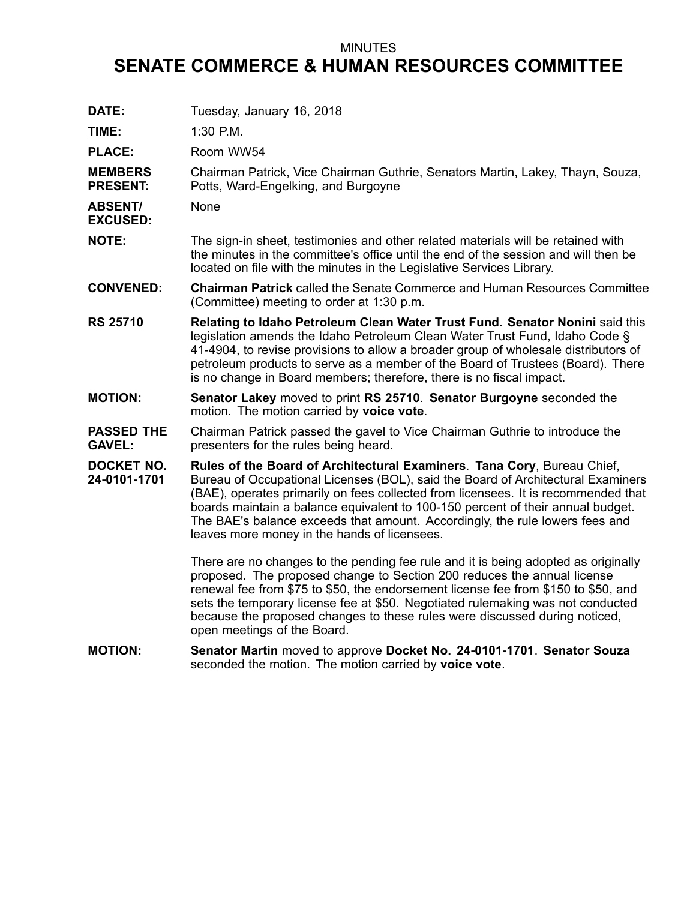## MINUTES

## **SENATE COMMERCE & HUMAN RESOURCES COMMITTEE**

| DATE:                              | Tuesday, January 16, 2018                                                                                                                                                                                                                                                                                                                                                                                                                                            |
|------------------------------------|----------------------------------------------------------------------------------------------------------------------------------------------------------------------------------------------------------------------------------------------------------------------------------------------------------------------------------------------------------------------------------------------------------------------------------------------------------------------|
| TIME:                              | 1:30 P.M.                                                                                                                                                                                                                                                                                                                                                                                                                                                            |
| <b>PLACE:</b>                      | Room WW54                                                                                                                                                                                                                                                                                                                                                                                                                                                            |
| <b>MEMBERS</b><br><b>PRESENT:</b>  | Chairman Patrick, Vice Chairman Guthrie, Senators Martin, Lakey, Thayn, Souza,<br>Potts, Ward-Engelking, and Burgoyne                                                                                                                                                                                                                                                                                                                                                |
| <b>ABSENT/</b><br><b>EXCUSED:</b>  | None                                                                                                                                                                                                                                                                                                                                                                                                                                                                 |
| <b>NOTE:</b>                       | The sign-in sheet, testimonies and other related materials will be retained with<br>the minutes in the committee's office until the end of the session and will then be<br>located on file with the minutes in the Legislative Services Library.                                                                                                                                                                                                                     |
| <b>CONVENED:</b>                   | Chairman Patrick called the Senate Commerce and Human Resources Committee<br>(Committee) meeting to order at 1:30 p.m.                                                                                                                                                                                                                                                                                                                                               |
| <b>RS 25710</b>                    | Relating to Idaho Petroleum Clean Water Trust Fund. Senator Nonini said this<br>legislation amends the Idaho Petroleum Clean Water Trust Fund, Idaho Code §<br>41-4904, to revise provisions to allow a broader group of wholesale distributors of<br>petroleum products to serve as a member of the Board of Trustees (Board). There<br>is no change in Board members; therefore, there is no fiscal impact.                                                        |
| <b>MOTION:</b>                     | Senator Lakey moved to print RS 25710. Senator Burgoyne seconded the<br>motion. The motion carried by voice vote.                                                                                                                                                                                                                                                                                                                                                    |
| <b>PASSED THE</b><br><b>GAVEL:</b> | Chairman Patrick passed the gavel to Vice Chairman Guthrie to introduce the<br>presenters for the rules being heard.                                                                                                                                                                                                                                                                                                                                                 |
| <b>DOCKET NO.</b><br>24-0101-1701  | Rules of the Board of Architectural Examiners. Tana Cory, Bureau Chief,<br>Bureau of Occupational Licenses (BOL), said the Board of Architectural Examiners<br>(BAE), operates primarily on fees collected from licensees. It is recommended that<br>boards maintain a balance equivalent to 100-150 percent of their annual budget.<br>The BAE's balance exceeds that amount. Accordingly, the rule lowers fees and<br>leaves more money in the hands of licensees. |
|                                    | There are no changes to the pending fee rule and it is being adopted as originally<br>proposed. The proposed change to Section 200 reduces the annual license<br>renewal fee from \$75 to \$50, the endorsement license fee from \$150 to \$50, and<br>sets the temporary license fee at \$50. Negotiated rulemaking was not conducted<br>because the proposed changes to these rules were discussed during noticed,<br>open meetings of the Board.                  |
| <b>MOTION:</b>                     | Senator Martin moved to approve Docket No. 24-0101-1701. Senator Souza<br>seconded the motion. The motion carried by voice vote.                                                                                                                                                                                                                                                                                                                                     |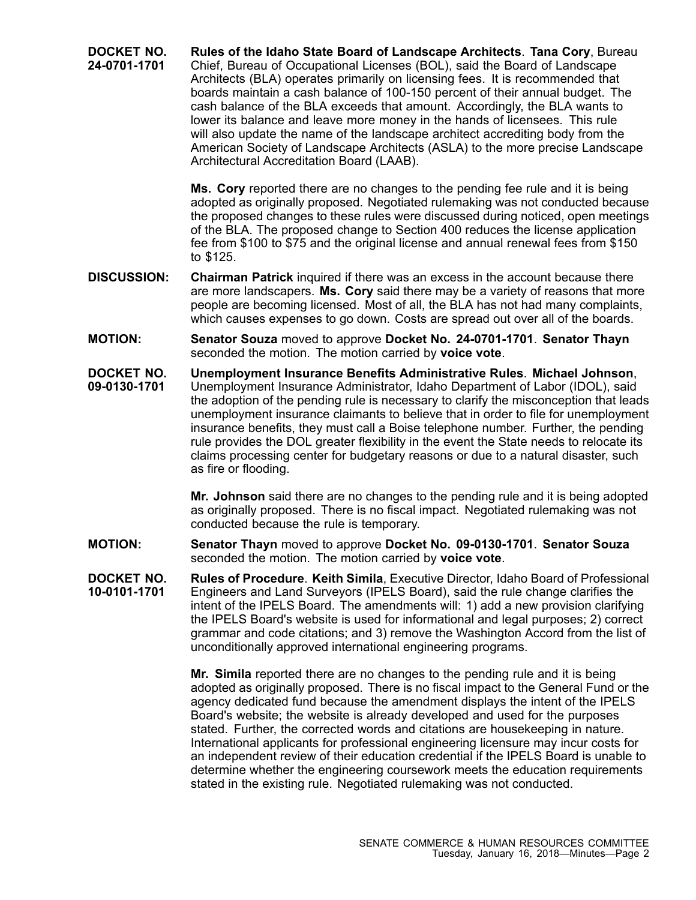**DOCKET NO. 24-0701-1701 Rules of the Idaho State Board of Landscape Architects**. **Tana Cory**, Bureau Chief, Bureau of Occupational Licenses (BOL), said the Board of Landscape Architects (BLA) operates primarily on licensing fees. It is recommended that boards maintain <sup>a</sup> cash balance of 100-150 percent of their annual budget. The cash balance of the BLA exceeds that amount. Accordingly, the BLA wants to lower its balance and leave more money in the hands of licensees. This rule will also update the name of the landscape architect accrediting body from the American Society of Landscape Architects (ASLA) to the more precise Landscape Architectural Accreditation Board (LAAB).

> **Ms. Cory** reported there are no changes to the pending fee rule and it is being adopted as originally proposed. Negotiated rulemaking was not conducted because the proposed changes to these rules were discussed during noticed, open meetings of the BLA. The proposed change to Section 400 reduces the license application fee from \$100 to \$75 and the original license and annual renewal fees from \$150 to \$125.

- **DISCUSSION: Chairman Patrick** inquired if there was an excess in the account because there are more landscapers. **Ms. Cory** said there may be <sup>a</sup> variety of reasons that more people are becoming licensed. Most of all, the BLA has not had many complaints, which causes expenses to go down. Costs are spread out over all of the boards.
- **MOTION: Senator Souza** moved to approve **Docket No. 24-0701-1701**. **Senator Thayn** seconded the motion. The motion carried by **voice vote**.
- **DOCKET NO. 09-0130-1701 Unemployment Insurance Benefits Administrative Rules**. **Michael Johnson**, Unemployment Insurance Administrator, Idaho Department of Labor (IDOL), said the adoption of the pending rule is necessary to clarify the misconception that leads unemployment insurance claimants to believe that in order to file for unemployment insurance benefits, they must call <sup>a</sup> Boise telephone number. Further, the pending rule provides the DOL greater flexibility in the event the State needs to relocate its claims processing center for budgetary reasons or due to <sup>a</sup> natural disaster, such as fire or flooding.

**Mr. Johnson** said there are no changes to the pending rule and it is being adopted as originally proposed. There is no fiscal impact. Negotiated rulemaking was not conducted because the rule is temporary.

**MOTION: Senator Thayn** moved to approve **Docket No. 09-0130-1701**. **Senator Souza** seconded the motion. The motion carried by **voice vote**.

**DOCKET NO. 10-0101-1701 Rules of Procedure**. **Keith Simila**, Executive Director, Idaho Board of Professional Engineers and Land Surveyors (IPELS Board), said the rule change clarifies the intent of the IPELS Board. The amendments will: 1) add <sup>a</sup> new provision clarifying the IPELS Board's website is used for informational and legal purposes; 2) correct grammar and code citations; and 3) remove the Washington Accord from the list of unconditionally approved international engineering programs.

> **Mr. Simila** reported there are no changes to the pending rule and it is being adopted as originally proposed. There is no fiscal impact to the General Fund or the agency dedicated fund because the amendment displays the intent of the IPELS Board's website; the website is already developed and used for the purposes stated. Further, the corrected words and citations are housekeeping in nature. International applicants for professional engineering licensure may incur costs for an independent review of their education credential if the IPELS Board is unable to determine whether the engineering coursework meets the education requirements stated in the existing rule. Negotiated rulemaking was not conducted.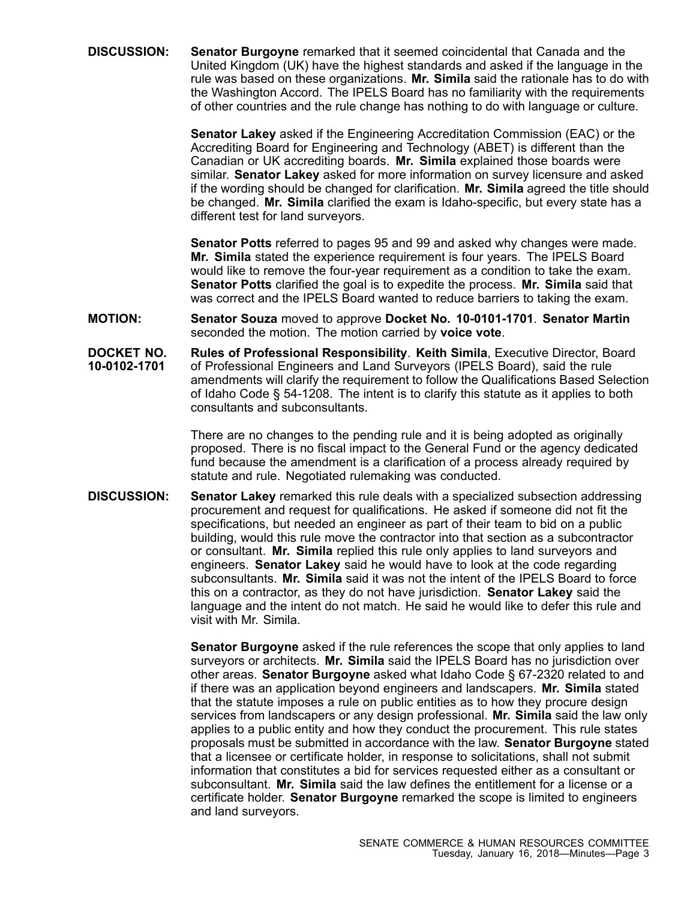**DISCUSSION: Senator Burgoyne** remarked that it seemed coincidental that Canada and the United Kingdom (UK) have the highest standards and asked if the language in the rule was based on these organizations. **Mr. Simila** said the rationale has to do with the Washington Accord. The IPELS Board has no familiarity with the requirements of other countries and the rule change has nothing to do with language or culture.

> **Senator Lakey** asked if the Engineering Accreditation Commission (EAC) or the Accrediting Board for Engineering and Technology (ABET) is different than the Canadian or UK accrediting boards. **Mr. Simila** explained those boards were similar. **Senator Lakey** asked for more information on survey licensure and asked if the wording should be changed for clarification. **Mr. Simila** agreed the title should be changed. **Mr. Simila** clarified the exam is Idaho-specific, but every state has <sup>a</sup> different test for land surveyors.

**Senator Potts** referred to pages 95 and 99 and asked why changes were made. **Mr. Simila** stated the experience requirement is four years. The IPELS Board would like to remove the four-year requirement as <sup>a</sup> condition to take the exam. **Senator Potts** clarified the goal is to expedite the process. **Mr. Simila** said that was correct and the IPELS Board wanted to reduce barriers to taking the exam.

- **MOTION: Senator Souza** moved to approve **Docket No. 10-0101-1701**. **Senator Martin** seconded the motion. The motion carried by **voice vote**.
- **DOCKET NO. 10-0102-1701 Rules of Professional Responsibility**. **Keith Simila**, Executive Director, Board of Professional Engineers and Land Surveyors (IPELS Board), said the rule amendments will clarify the requirement to follow the Qualifications Based Selection of Idaho Code § 54-1208. The intent is to clarify this statute as it applies to both consultants and subconsultants.

There are no changes to the pending rule and it is being adopted as originally proposed. There is no fiscal impact to the General Fund or the agency dedicated fund because the amendment is <sup>a</sup> clarification of <sup>a</sup> process already required by statute and rule. Negotiated rulemaking was conducted.

**DISCUSSION: Senator Lakey** remarked this rule deals with <sup>a</sup> specialized subsection addressing procurement and request for qualifications. He asked if someone did not fit the specifications, but needed an engineer as part of their team to bid on <sup>a</sup> public building, would this rule move the contractor into that section as <sup>a</sup> subcontractor or consultant. **Mr. Simila** replied this rule only applies to land surveyors and engineers. **Senator Lakey** said he would have to look at the code regarding subconsultants. **Mr. Simila** said it was not the intent of the IPELS Board to force this on <sup>a</sup> contractor, as they do not have jurisdiction. **Senator Lakey** said the language and the intent do not match. He said he would like to defer this rule and visit with Mr. Simila.

> **Senator Burgoyne** asked if the rule references the scope that only applies to land surveyors or architects. **Mr. Simila** said the IPELS Board has no jurisdiction over other areas. **Senator Burgoyne** asked what Idaho Code § 67-2320 related to and if there was an application beyond engineers and landscapers. **Mr. Simila** stated that the statute imposes <sup>a</sup> rule on public entities as to how they procure design services from landscapers or any design professional. **Mr. Simila** said the law only applies to <sup>a</sup> public entity and how they conduct the procurement. This rule states proposals must be submitted in accordance with the law. **Senator Burgoyne** stated that <sup>a</sup> licensee or certificate holder, in response to solicitations, shall not submit information that constitutes <sup>a</sup> bid for services requested either as <sup>a</sup> consultant or subconsultant. **Mr. Simila** said the law defines the entitlement for a license or a certificate holder. **Senator Burgoyne** remarked the scope is limited to engineers and land surveyors.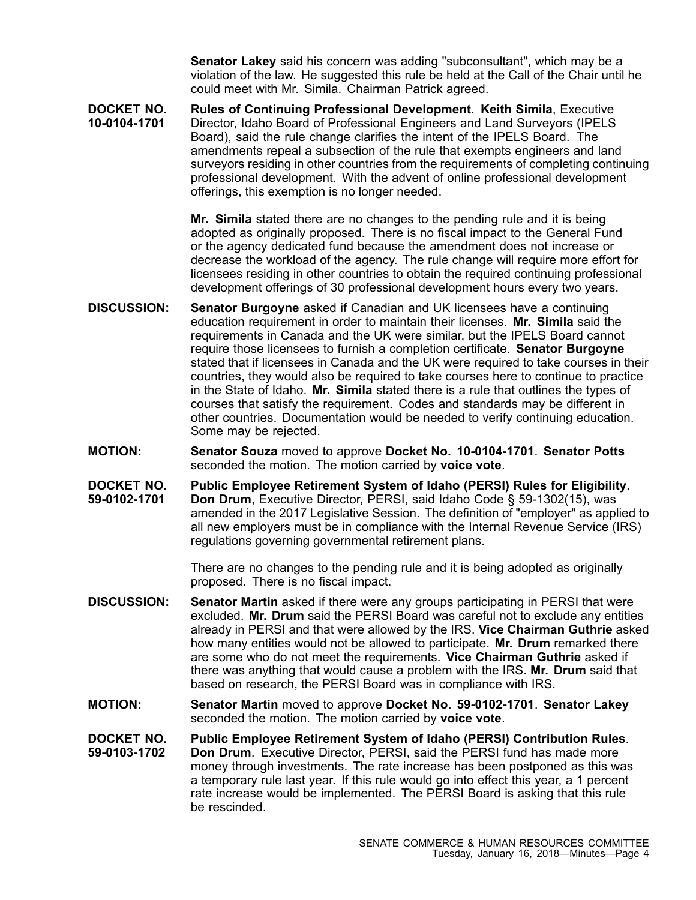**Senator Lakey** said his concern was adding "subconsultant", which may be <sup>a</sup> violation of the law. He suggested this rule be held at the Call of the Chair until he could meet with Mr. Simila. Chairman Patrick agreed.

**DOCKET NO. 10-0104-1701 Rules of Continuing Professional Development**. **Keith Simila**, Executive Director, Idaho Board of Professional Engineers and Land Surveyors (IPELS Board), said the rule change clarifies the intent of the IPELS Board. The amendments repeal <sup>a</sup> subsection of the rule that exempts engineers and land surveyors residing in other countries from the requirements of completing continuing professional development. With the advent of online professional development offerings, this exemption is no longer needed.

> **Mr. Simila** stated there are no changes to the pending rule and it is being adopted as originally proposed. There is no fiscal impact to the General Fund or the agency dedicated fund because the amendment does not increase or decrease the workload of the agency. The rule change will require more effort for licensees residing in other countries to obtain the required continuing professional development offerings of 30 professional development hours every two years.

- **DISCUSSION: Senator Burgoyne** asked if Canadian and UK licensees have <sup>a</sup> continuing education requirement in order to maintain their licenses. **Mr. Simila** said the requirements in Canada and the UK were similar, but the IPELS Board cannot require those licensees to furnish <sup>a</sup> completion certificate. **Senator Burgoyne** stated that if licensees in Canada and the UK were required to take courses in their countries, they would also be required to take courses here to continue to practice in the State of Idaho. **Mr. Simila** stated there is <sup>a</sup> rule that outlines the types of courses that satisfy the requirement. Codes and standards may be different in other countries. Documentation would be needed to verify continuing education. Some may be rejected.
- **MOTION: Senator Souza** moved to approve **Docket No. 10-0104-1701**. **Senator Potts** seconded the motion. The motion carried by **voice vote**.
- **DOCKET NO. Public Employee Retirement System of Idaho (PERSI) Rules for Eligibility**.
- **59-0102-1701 Don Drum**, Executive Director, PERSI, said Idaho Code § 59-1302(15), was amended in the 2017 Legislative Session. The definition of "employer" as applied to all new employers must be in compliance with the Internal Revenue Service (IRS) regulations governing governmental retirement plans.

There are no changes to the pending rule and it is being adopted as originally proposed. There is no fiscal impact.

- **DISCUSSION: Senator Martin** asked if there were any groups participating in PERSI that were excluded. **Mr. Drum** said the PERSI Board was careful not to exclude any entities already in PERSI and that were allowed by the IRS. **Vice Chairman Guthrie** asked how many entities would not be allowed to participate. **Mr. Drum** remarked there are some who do not meet the requirements. **Vice Chairman Guthrie** asked if there was anything that would cause <sup>a</sup> problem with the IRS. **Mr. Drum** said that based on research, the PERSI Board was in compliance with IRS.
- **MOTION: Senator Martin** moved to approve **Docket No. 59-0102-1701**. **Senator Lakey** seconded the motion. The motion carried by **voice vote**.
- **DOCKET NO. 59-0103-1702 Public Employee Retirement System of Idaho (PERSI) Contribution Rules**. **Don Drum**. Executive Director, PERSI, said the PERSI fund has made more money through investments. The rate increase has been postponed as this was <sup>a</sup> temporary rule last year. If this rule would go into effect this year, <sup>a</sup> 1 percent rate increase would be implemented. The PERSI Board is asking that this rule be rescinded.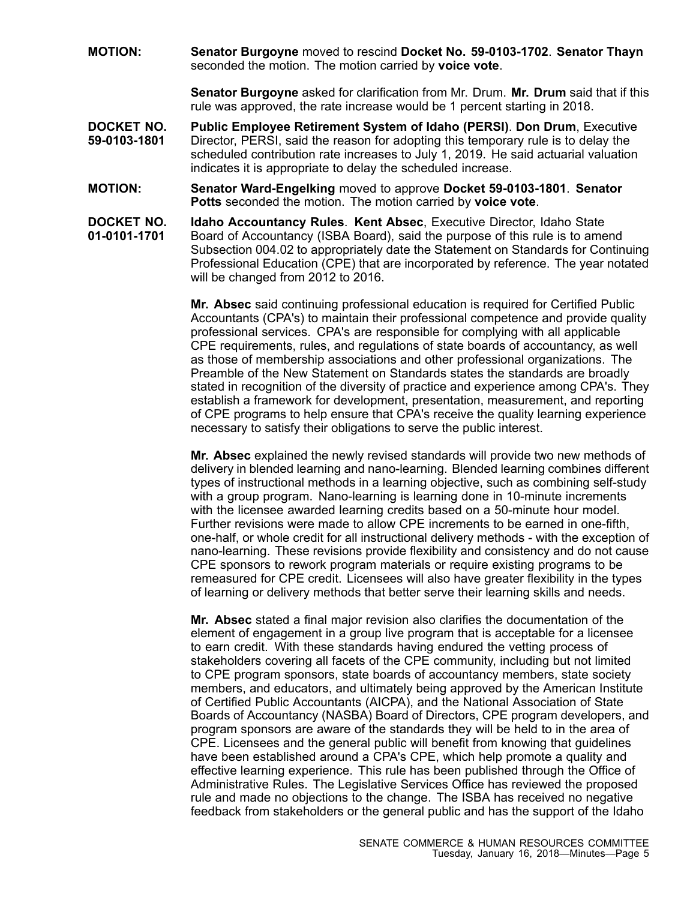**MOTION: Senator Burgoyne** moved to rescind **Docket No. 59-0103-1702**. **Senator Thayn** seconded the motion. The motion carried by **voice vote**.

> **Senator Burgoyne** asked for clarification from Mr. Drum. **Mr. Drum** said that if this rule was approved, the rate increase would be 1 percent starting in 2018.

- **DOCKET NO. 59-0103-1801 Public Employee Retirement System of Idaho (PERSI)**. **Don Drum**, Executive Director, PERSI, said the reason for adopting this temporary rule is to delay the scheduled contribution rate increases to July 1, 2019. He said actuarial valuation indicates it is appropriate to delay the scheduled increase.
- **MOTION: Senator Ward-Engelking** moved to approve **Docket 59-0103-1801**. **Senator Potts** seconded the motion. The motion carried by **voice vote**.
- **DOCKET NO. 01-0101-1701 Idaho Accountancy Rules**. **Kent Absec**, Executive Director, Idaho State Board of Accountancy (ISBA Board), said the purpose of this rule is to amend Subsection 004.02 to appropriately date the Statement on Standards for Continuing Professional Education (CPE) that are incorporated by reference. The year notated will be changed from 2012 to 2016.

**Mr. Absec** said continuing professional education is required for Certified Public Accountants (CPA's) to maintain their professional competence and provide quality professional services. CPA's are responsible for complying with all applicable CPE requirements, rules, and regulations of state boards of accountancy, as well as those of membership associations and other professional organizations. The Preamble of the New Statement on Standards states the standards are broadly stated in recognition of the diversity of practice and experience among CPA's. They establish <sup>a</sup> framework for development, presentation, measurement, and reporting of CPE programs to help ensure that CPA's receive the quality learning experience necessary to satisfy their obligations to serve the public interest.

**Mr. Absec** explained the newly revised standards will provide two new methods of delivery in blended learning and nano-learning. Blended learning combines different types of instructional methods in <sup>a</sup> learning objective, such as combining self-study with <sup>a</sup> group program. Nano-learning is learning done in 10-minute increments with the licensee awarded learning credits based on <sup>a</sup> 50-minute hour model. Further revisions were made to allow CPE increments to be earned in one-fifth, one-half, or whole credit for all instructional delivery methods - with the exception of nano-learning. These revisions provide flexibility and consistency and do not cause CPE sponsors to rework program materials or require existing programs to be remeasured for CPE credit. Licensees will also have greater flexibility in the types of learning or delivery methods that better serve their learning skills and needs.

**Mr. Absec** stated <sup>a</sup> final major revision also clarifies the documentation of the element of engagement in <sup>a</sup> group live program that is acceptable for <sup>a</sup> licensee to earn credit. With these standards having endured the vetting process of stakeholders covering all facets of the CPE community, including but not limited to CPE program sponsors, state boards of accountancy members, state society members, and educators, and ultimately being approved by the American Institute of Certified Public Accountants (AICPA), and the National Association of State Boards of Accountancy (NASBA) Board of Directors, CPE program developers, and program sponsors are aware of the standards they will be held to in the area of CPE. Licensees and the general public will benefit from knowing that guidelines have been established around <sup>a</sup> CPA's CPE, which help promote <sup>a</sup> quality and effective learning experience. This rule has been published through the Office of Administrative Rules. The Legislative Services Office has reviewed the proposed rule and made no objections to the change. The ISBA has received no negative feedback from stakeholders or the general public and has the support of the Idaho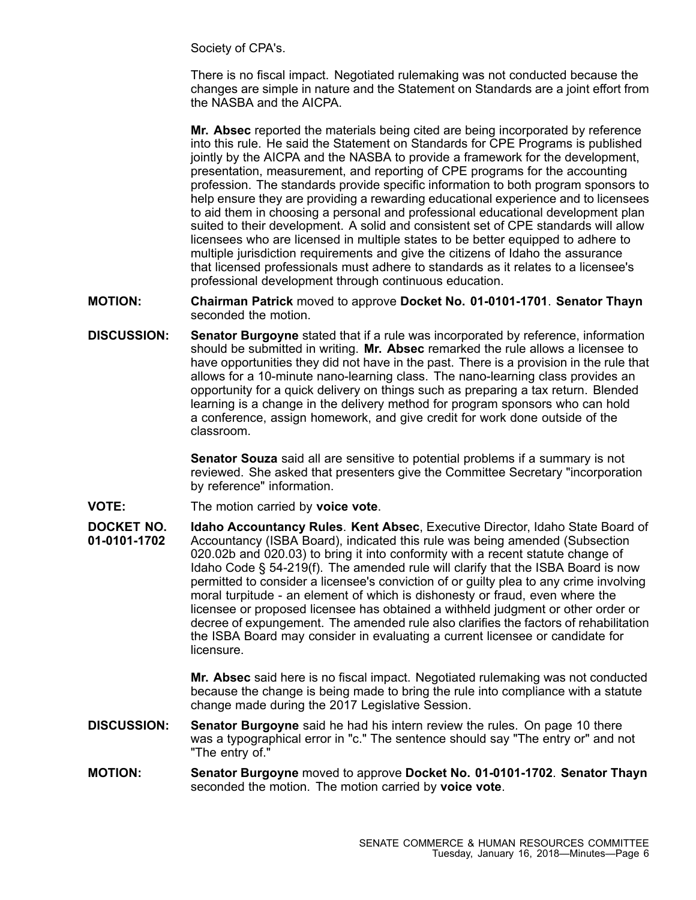Society of CPA's.

There is no fiscal impact. Negotiated rulemaking was not conducted because the changes are simple in nature and the Statement on Standards are <sup>a</sup> joint effort from the NASBA and the AICPA.

**Mr. Absec** reported the materials being cited are being incorporated by reference into this rule. He said the Statement on Standards for CPE Programs is published jointly by the AICPA and the NASBA to provide <sup>a</sup> framework for the development, presentation, measurement, and reporting of CPE programs for the accounting profession. The standards provide specific information to both program sponsors to help ensure they are providing <sup>a</sup> rewarding educational experience and to licensees to aid them in choosing <sup>a</sup> personal and professional educational development plan suited to their development. A solid and consistent set of CPE standards will allow licensees who are licensed in multiple states to be better equipped to adhere to multiple jurisdiction requirements and give the citizens of Idaho the assurance that licensed professionals must adhere to standards as it relates to <sup>a</sup> licensee's professional development through continuous education.

**MOTION: Chairman Patrick** moved to approve **Docket No. 01-0101-1701**. **Senator Thayn** seconded the motion.

**DISCUSSION: Senator Burgoyne** stated that if <sup>a</sup> rule was incorporated by reference, information should be submitted in writing. **Mr. Absec** remarked the rule allows <sup>a</sup> licensee to have opportunities they did not have in the past. There is <sup>a</sup> provision in the rule that allows for <sup>a</sup> 10-minute nano-learning class. The nano-learning class provides an opportunity for <sup>a</sup> quick delivery on things such as preparing <sup>a</sup> tax return. Blended learning is <sup>a</sup> change in the delivery method for program sponsors who can hold <sup>a</sup> conference, assign homework, and give credit for work done outside of the classroom.

> **Senator Souza** said all are sensitive to potential problems if <sup>a</sup> summary is not reviewed. She asked that presenters give the Committee Secretary "incorporation by reference" information.

**VOTE:** The motion carried by **voice vote**.

**DOCKET NO. 01-0101-1702 Idaho Accountancy Rules**. **Kent Absec**, Executive Director, Idaho State Board of Accountancy (ISBA Board), indicated this rule was being amended (Subsection 020.02b and 020.03) to bring it into conformity with <sup>a</sup> recent statute change of Idaho Code § 54-219(f). The amended rule will clarify that the ISBA Board is now permitted to consider <sup>a</sup> licensee's conviction of or guilty plea to any crime involving moral turpitude - an element of which is dishonesty or fraud, even where the licensee or proposed licensee has obtained <sup>a</sup> withheld judgment or other order or decree of expungement. The amended rule also clarifies the factors of rehabilitation the ISBA Board may consider in evaluating <sup>a</sup> current licensee or candidate for licensure.

> **Mr. Absec** said here is no fiscal impact. Negotiated rulemaking was not conducted because the change is being made to bring the rule into compliance with <sup>a</sup> statute change made during the 2017 Legislative Session.

- **DISCUSSION: Senator Burgoyne** said he had his intern review the rules. On page 10 there was <sup>a</sup> typographical error in "c." The sentence should say "The entry or" and not "The entry of."
- **MOTION: Senator Burgoyne** moved to approve **Docket No. 01-0101-1702**. **Senator Thayn** seconded the motion. The motion carried by **voice vote**.